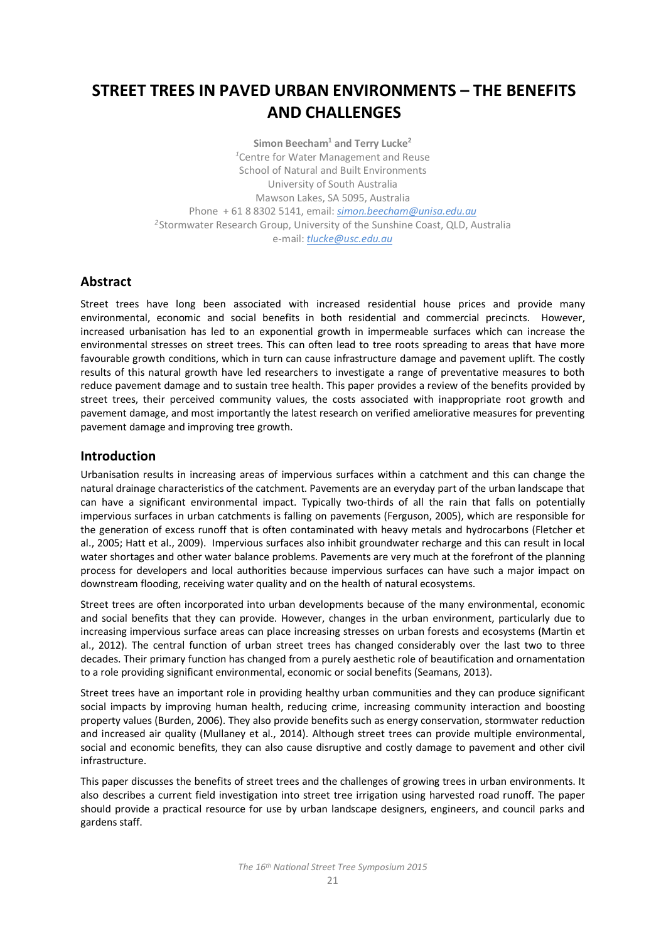# **STREET TREES IN PAVED URBAN ENVIRONMENTS – THE BENEFITS AND CHALLENGES**

**Simon Beecham1 and Terry Lucke2** *1* Centre for Water Management and Reuse School of Natural and Built Environments University of South Australia Mawson Lakes, SA 5095, Australia Phone + 61 8 8302 5141, email: *[simon.beecham@unisa.edu.au](mailto:simon.beecham@unisa.edu.au) <sup>2</sup>*Stormwater Research Group, University of the Sunshine Coast, QLD, Australia e-mail: *[tlucke@usc.edu.au](mailto:tlucke@usc.edu.au)*

## **Abstract**

Street trees have long been associated with increased residential house prices and provide many environmental, economic and social benefits in both residential and commercial precincts. However, increased urbanisation has led to an exponential growth in impermeable surfaces which can increase the environmental stresses on street trees. This can often lead to tree roots spreading to areas that have more favourable growth conditions, which in turn can cause infrastructure damage and pavement uplift. The costly results of this natural growth have led researchers to investigate a range of preventative measures to both reduce pavement damage and to sustain tree health. This paper provides a review of the benefits provided by street trees, their perceived community values, the costs associated with inappropriate root growth and pavement damage, and most importantly the latest research on verified ameliorative measures for preventing pavement damage and improving tree growth.

## **Introduction**

Urbanisation results in increasing areas of impervious surfaces within a catchment and this can change the natural drainage characteristics of the catchment. Pavements are an everyday part of the urban landscape that can have a significant environmental impact. Typically two-thirds of all the rain that falls on potentially impervious surfaces in urban catchments is falling on pavements (Ferguson, 2005), which are responsible for the generation of excess runoff that is often contaminated with heavy metals and hydrocarbons (Fletcher et al., 2005; Hatt et al., 2009). Impervious surfaces also inhibit groundwater recharge and this can result in local water shortages and other water balance problems. Pavements are very much at the forefront of the planning process for developers and local authorities because impervious surfaces can have such a major impact on downstream flooding, receiving water quality and on the health of natural ecosystems.

Street trees are often incorporated into urban developments because of the many environmental, economic and social benefits that they can provide. However, changes in the urban environment, particularly due to increasing impervious surface areas can place increasing stresses on urban forests and ecosystems (Martin et al., 2012). The central function of urban street trees has changed considerably over the last two to three decades. Their primary function has changed from a purely aesthetic role of beautification and ornamentation to a role providing significant environmental, economic or social benefits (Seamans, 2013).

Street trees have an important role in providing healthy urban communities and they can produce significant social impacts by improving human health, reducing crime, increasing community interaction and boosting property values (Burden, 2006). They also provide benefits such as energy conservation, stormwater reduction and increased air quality (Mullaney et al., 2014). Although street trees can provide multiple environmental, social and economic benefits, they can also cause disruptive and costly damage to pavement and other civil infrastructure.

This paper discusses the benefits of street trees and the challenges of growing trees in urban environments. It also describes a current field investigation into street tree irrigation using harvested road runoff. The paper should provide a practical resource for use by urban landscape designers, engineers, and council parks and gardens staff.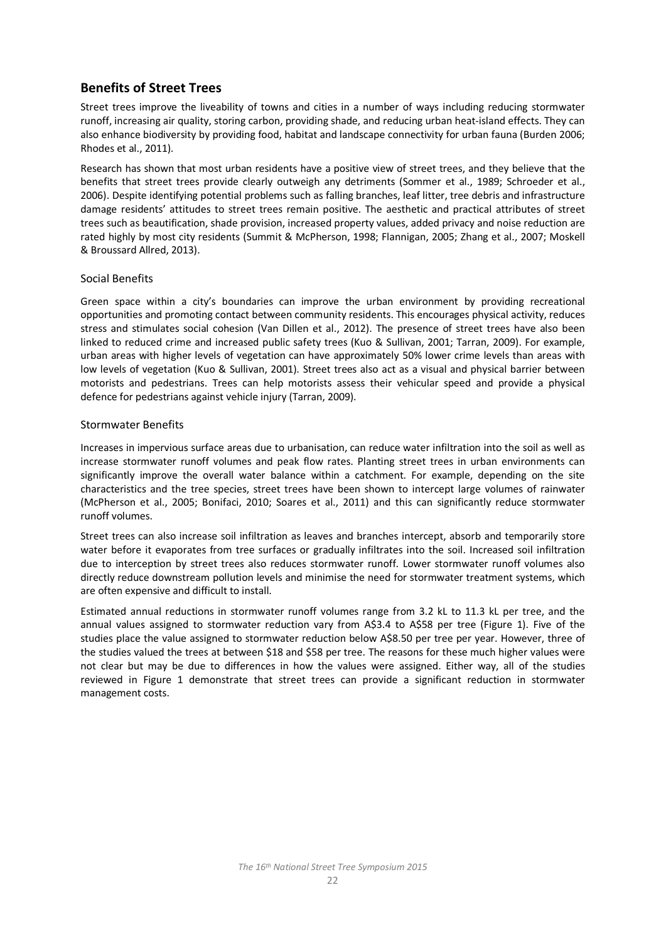## **Benefits of Street Trees**

Street trees improve the liveability of towns and cities in a number of ways including reducing stormwater runoff, increasing air quality, storing carbon, providing shade, and reducing urban heat-island effects. They can also enhance biodiversity by providing food, habitat and landscape connectivity for urban fauna (Burden 2006; Rhodes et al., 2011).

Research has shown that most urban residents have a positive view of street trees, and they believe that the benefits that street trees provide clearly outweigh any detriments (Sommer et al., 1989; Schroeder et al., 2006). Despite identifying potential problems such as falling branches, leaf litter, tree debris and infrastructure damage residents' attitudes to street trees remain positive. The aesthetic and practical attributes of street trees such as beautification, shade provision, increased property values, added privacy and noise reduction are rated highly by most city residents (Summit & McPherson, 1998; Flannigan, 2005; Zhang et al., 2007; Moskell & Broussard Allred, 2013).

#### Social Benefits

Green space within a city's boundaries can improve the urban environment by providing recreational opportunities and promoting contact between community residents. This encourages physical activity, reduces stress and stimulates social cohesion (Van Dillen et al., 2012). The presence of street trees have also been linked to reduced crime and increased public safety trees (Kuo & Sullivan, 2001; Tarran, 2009). For example, urban areas with higher levels of vegetation can have approximately 50% lower crime levels than areas with low levels of vegetation (Kuo & Sullivan, 2001). Street trees also act as a visual and physical barrier between motorists and pedestrians. Trees can help motorists assess their vehicular speed and provide a physical defence for pedestrians against vehicle injury (Tarran, 2009).

#### Stormwater Benefits

Increases in impervious surface areas due to urbanisation, can reduce water infiltration into the soil as well as increase stormwater runoff volumes and peak flow rates. Planting street trees in urban environments can significantly improve the overall water balance within a catchment. For example, depending on the site characteristics and the tree species, street trees have been shown to intercept large volumes of rainwater (McPherson et al., 2005; Bonifaci, 2010; Soares et al., 2011) and this can significantly reduce stormwater runoff volumes.

Street trees can also increase soil infiltration as leaves and branches intercept, absorb and temporarily store water before it evaporates from tree surfaces or gradually infiltrates into the soil. Increased soil infiltration due to interception by street trees also reduces stormwater runoff. Lower stormwater runoff volumes also directly reduce downstream pollution levels and minimise the need for stormwater treatment systems, which are often expensive and difficult to install.

Estimated annual reductions in stormwater runoff volumes range from 3.2 kL to 11.3 kL per tree, and the annual values assigned to stormwater reduction vary from A\$3.4 to A\$58 per tree (Figure 1). Five of the studies place the value assigned to stormwater reduction below A\$8.50 per tree per year. However, three of the studies valued the trees at between \$18 and \$58 per tree. The reasons for these much higher values were not clear but may be due to differences in how the values were assigned. Either way, all of the studies reviewed in Figure 1 demonstrate that street trees can provide a significant reduction in stormwater management costs.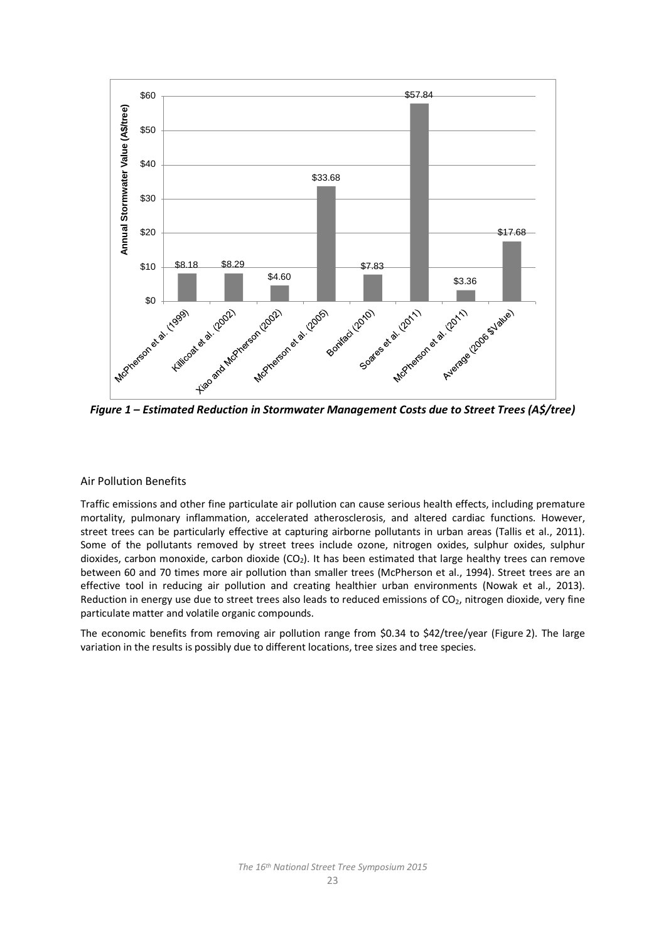

*Figure 1 – Estimated Reduction in Stormwater Management Costs due to Street Trees (A\$/tree)*

## Air Pollution Benefits

Traffic emissions and other fine particulate air pollution can cause serious health effects, including premature mortality, pulmonary inflammation, accelerated atherosclerosis, and altered cardiac functions. However, street trees can be particularly effective at capturing airborne pollutants in urban areas (Tallis et al., 2011). Some of the pollutants removed by street trees include ozone, nitrogen oxides, sulphur oxides, sulphur dioxides, carbon monoxide, carbon dioxide  $(CO<sub>2</sub>)$ . It has been estimated that large healthy trees can remove between 60 and 70 times more air pollution than smaller trees (McPherson et al., 1994). Street trees are an effective tool in reducing air pollution and creating healthier urban environments (Nowak et al., 2013). Reduction in energy use due to street trees also leads to reduced emissions of  $CO<sub>2</sub>$ , nitrogen dioxide, very fine particulate matter and volatile organic compounds.

The economic benefits from removing air pollution range from \$0.34 to \$42/tree/year (Figure 2). The large variation in the results is possibly due to different locations, tree sizes and tree species.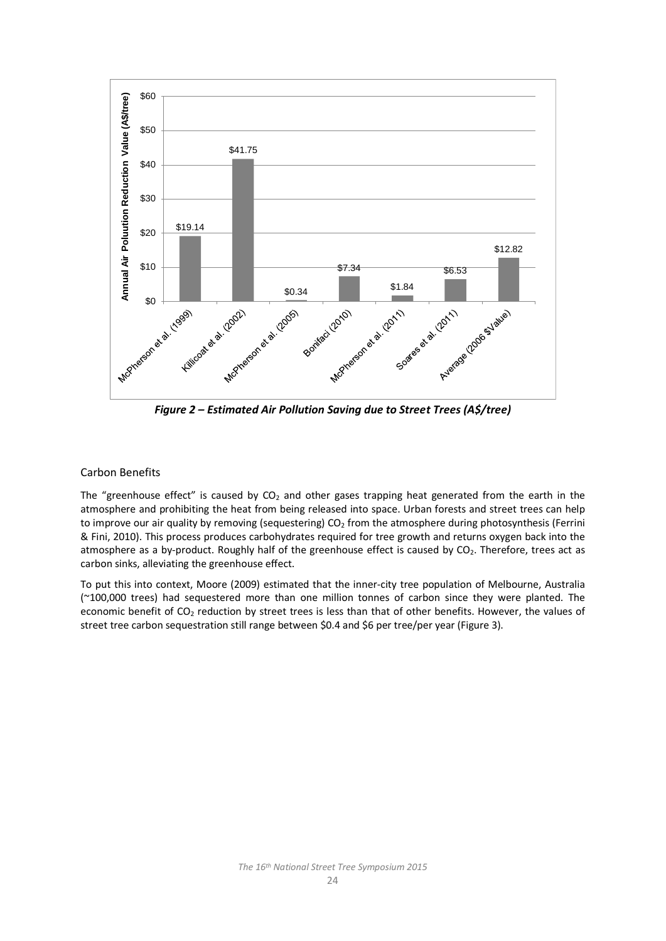

*Figure 2 – Estimated Air Pollution Saving due to Street Trees (A\$/tree)*

#### Carbon Benefits

The "greenhouse effect" is caused by  $CO<sub>2</sub>$  and other gases trapping heat generated from the earth in the atmosphere and prohibiting the heat from being released into space. Urban forests and street trees can help to improve our air quality by removing (sequestering) CO<sub>2</sub> from the atmosphere during photosynthesis (Ferrini & Fini, 2010). This process produces carbohydrates required for tree growth and returns oxygen back into the atmosphere as a by-product. Roughly half of the greenhouse effect is caused by CO<sub>2</sub>. Therefore, trees act as carbon sinks, alleviating the greenhouse effect.

To put this into context, Moore (2009) estimated that the inner-city tree population of Melbourne, Australia (~100,000 trees) had sequestered more than one million tonnes of carbon since they were planted. The economic benefit of CO<sub>2</sub> reduction by street trees is less than that of other benefits. However, the values of street tree carbon sequestration still range between \$0.4 and \$6 per tree/per year (Figure 3).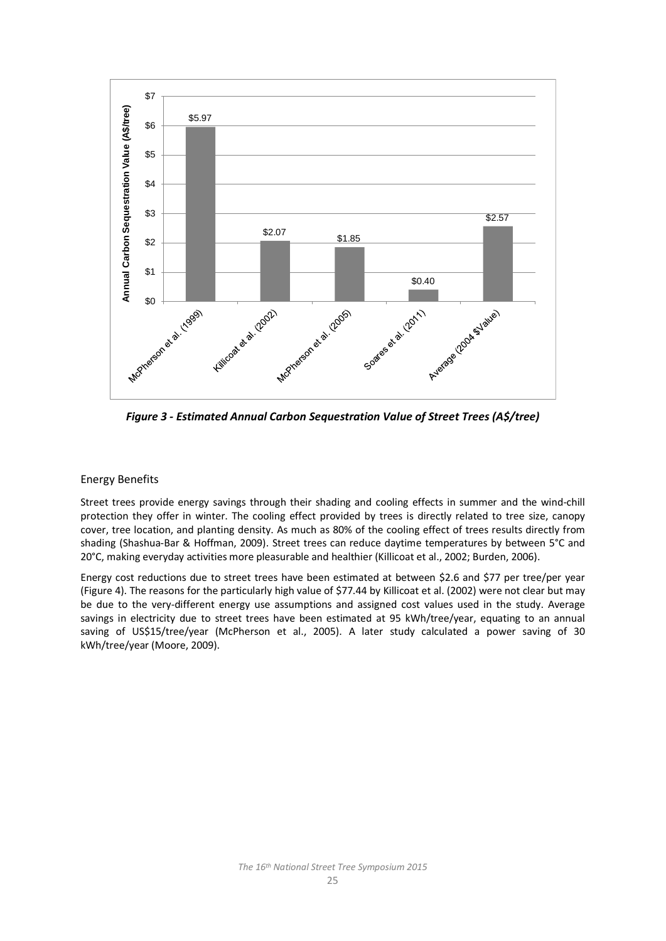

*Figure 3 - Estimated Annual Carbon Sequestration Value of Street Trees (A\$/tree)*

## Energy Benefits

Street trees provide energy savings through their shading and cooling effects in summer and the wind-chill protection they offer in winter. The cooling effect provided by trees is directly related to tree size, canopy cover, tree location, and planting density. As much as 80% of the cooling effect of trees results directly from shading (Shashua-Bar & Hoffman, 2009). Street trees can reduce daytime temperatures by between 5°C and 20°C, making everyday activities more pleasurable and healthier (Killicoat et al., 2002; Burden, 2006).

Energy cost reductions due to street trees have been estimated at between \$2.6 and \$77 per tree/per year (Figure 4). The reasons for the particularly high value of \$77.44 by Killicoat et al. (2002) were not clear but may be due to the very-different energy use assumptions and assigned cost values used in the study. Average savings in electricity due to street trees have been estimated at 95 kWh/tree/year, equating to an annual saving of US\$15/tree/year (McPherson et al., 2005). A later study calculated a power saving of 30 kWh/tree/year (Moore, 2009).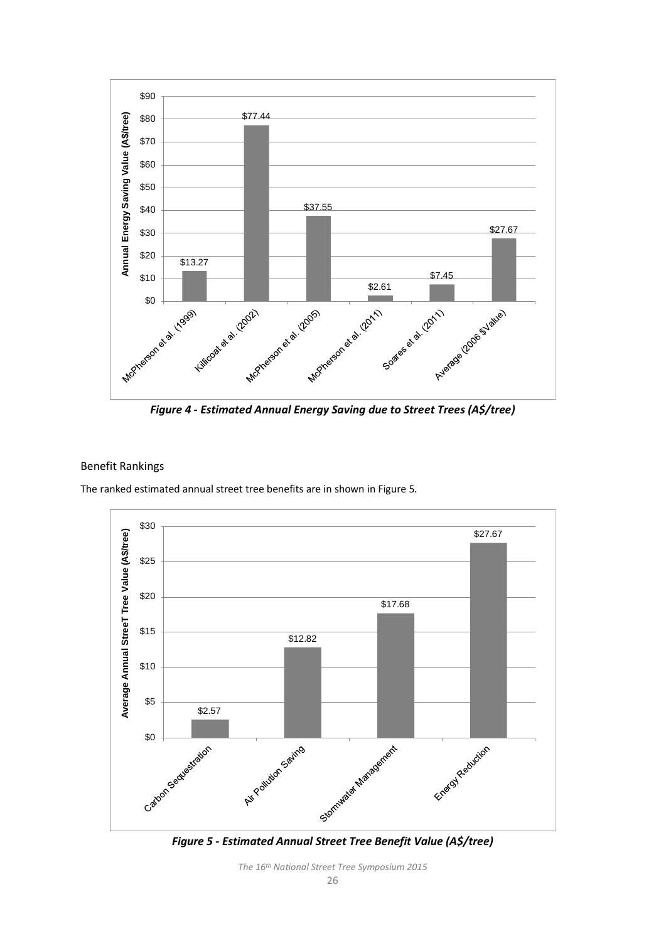

*Figure 4 - Estimated Annual Energy Saving due to Street Trees (A\$/tree)*

#### Benefit Rankings

The ranked estimated annual street tree benefits are in shown in Figure 5.



*Figure 5 - Estimated Annual Street Tree Benefit Value (A\$/tree)*

*The 16th National Street Tree Symposium 2015*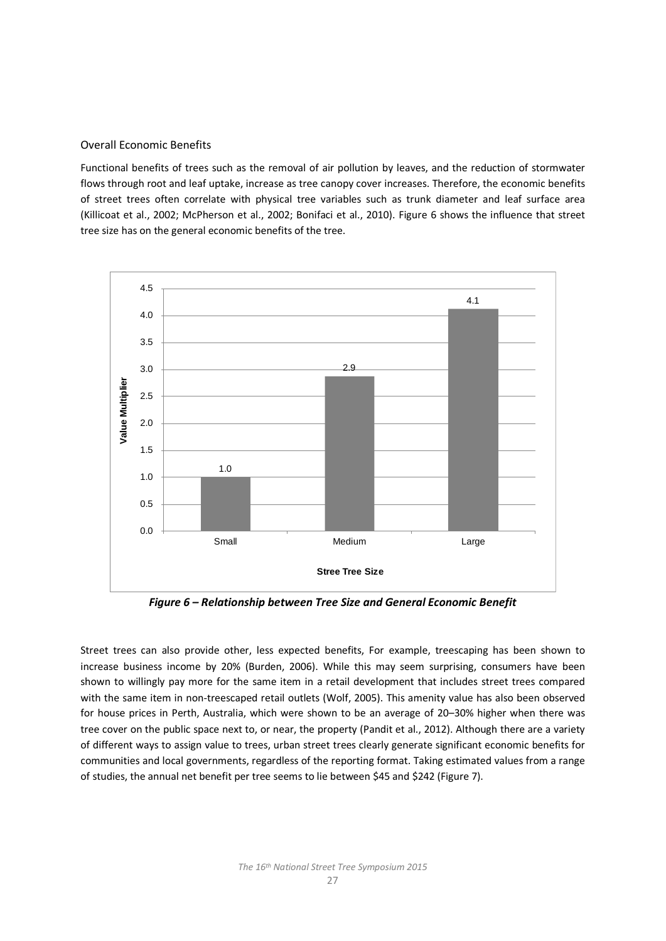## Overall Economic Benefits

Functional benefits of trees such as the removal of air pollution by leaves, and the reduction of stormwater flows through root and leaf uptake, increase as tree canopy cover increases. Therefore, the economic benefits of street trees often correlate with physical tree variables such as trunk diameter and leaf surface area (Killicoat et al., 2002; McPherson et al., 2002; Bonifaci et al., 2010). Figure 6 shows the influence that street tree size has on the general economic benefits of the tree.



*Figure 6 – Relationship between Tree Size and General Economic Benefit*

Street trees can also provide other, less expected benefits, For example, treescaping has been shown to increase business income by 20% (Burden, 2006). While this may seem surprising, consumers have been shown to willingly pay more for the same item in a retail development that includes street trees compared with the same item in non-treescaped retail outlets (Wolf, 2005). This amenity value has also been observed for house prices in Perth, Australia, which were shown to be an average of 20–30% higher when there was tree cover on the public space next to, or near, the property (Pandit et al., 2012). Although there are a variety of different ways to assign value to trees, urban street trees clearly generate significant economic benefits for communities and local governments, regardless of the reporting format. Taking estimated values from a range of studies, the annual net benefit per tree seems to lie between \$45 and \$242 (Figure 7).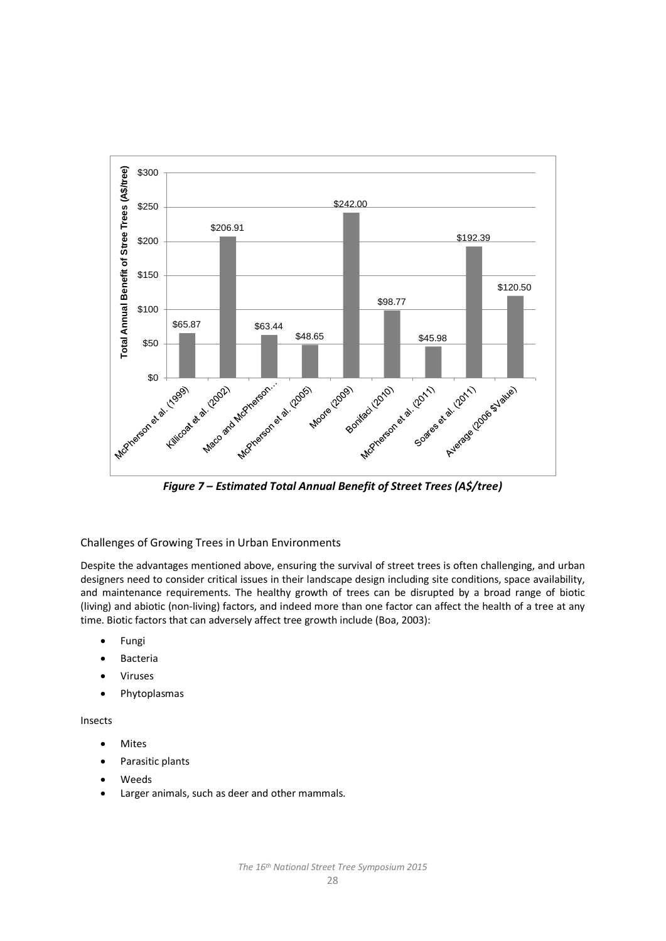![](_page_7_Figure_0.jpeg)

*Figure 7 – Estimated Total Annual Benefit of Street Trees (A\$/tree)*

Challenges of Growing Trees in Urban Environments

Despite the advantages mentioned above, ensuring the survival of street trees is often challenging, and urban designers need to consider critical issues in their landscape design including site conditions, space availability, and maintenance requirements. The healthy growth of trees can be disrupted by a broad range of biotic (living) and abiotic (non-living) factors, and indeed more than one factor can affect the health of a tree at any time. Biotic factors that can adversely affect tree growth include (Boa, 2003):

- Fungi
- Bacteria
- Viruses
- Phytoplasmas

## Insects

- Mites
- Parasitic plants
- Weeds
- Larger animals, such as deer and other mammals.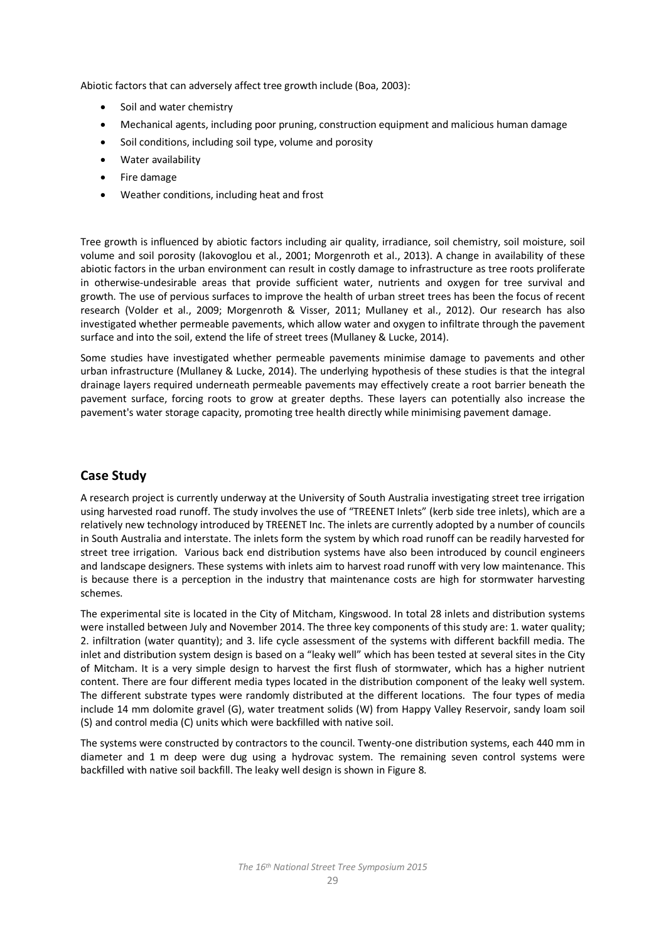Abiotic factors that can adversely affect tree growth include (Boa, 2003):

- Soil and water chemistry
- Mechanical agents, including poor pruning, construction equipment and malicious human damage
- Soil conditions, including soil type, volume and porosity
- Water availability
- Fire damage
- Weather conditions, including heat and frost

Tree growth is influenced by abiotic factors including air quality, irradiance, soil chemistry, soil moisture, soil volume and soil porosity (Iakovoglou et al., 2001; Morgenroth et al., 2013). A change in availability of these abiotic factors in the urban environment can result in costly damage to infrastructure as tree roots proliferate in otherwise-undesirable areas that provide sufficient water, nutrients and oxygen for tree survival and growth. The use of pervious surfaces to improve the health of urban street trees has been the focus of recent research (Volder et al., 2009; Morgenroth & Visser, 2011; Mullaney et al., 2012). Our research has also investigated whether permeable pavements, which allow water and oxygen to infiltrate through the pavement surface and into the soil, extend the life of street trees (Mullaney & Lucke, 2014).

Some studies have investigated whether permeable pavements minimise damage to pavements and other urban infrastructure (Mullaney & Lucke, 2014). The underlying hypothesis of these studies is that the integral drainage layers required underneath permeable pavements may effectively create a root barrier beneath the pavement surface, forcing roots to grow at greater depths. These layers can potentially also increase the pavement's water storage capacity, promoting tree health directly while minimising pavement damage.

## **Case Study**

A research project is currently underway at the University of South Australia investigating street tree irrigation using harvested road runoff. The study involves the use of "TREENET Inlets" (kerb side tree inlets), which are a relatively new technology introduced by TREENET Inc. The inlets are currently adopted by a number of councils in South Australia and interstate. The inlets form the system by which road runoff can be readily harvested for street tree irrigation. Various back end distribution systems have also been introduced by council engineers and landscape designers. These systems with inlets aim to harvest road runoff with very low maintenance. This is because there is a perception in the industry that maintenance costs are high for stormwater harvesting schemes.

The experimental site is located in the City of Mitcham, Kingswood. In total 28 inlets and distribution systems were installed between July and November 2014. The three key components of this study are: 1. water quality; 2. infiltration (water quantity); and 3. life cycle assessment of the systems with different backfill media. The inlet and distribution system design is based on a "leaky well" which has been tested at several sites in the City of Mitcham. It is a very simple design to harvest the first flush of stormwater, which has a higher nutrient content. There are four different media types located in the distribution component of the leaky well system. The different substrate types were randomly distributed at the different locations. The four types of media include 14 mm dolomite gravel (G), water treatment solids (W) from Happy Valley Reservoir, sandy loam soil (S) and control media (C) units which were backfilled with native soil.

The systems were constructed by contractors to the council. Twenty-one distribution systems, each 440 mm in diameter and 1 m deep were dug using a hydrovac system. The remaining seven control systems were backfilled with native soil backfill. The leaky well design is shown in Figure 8.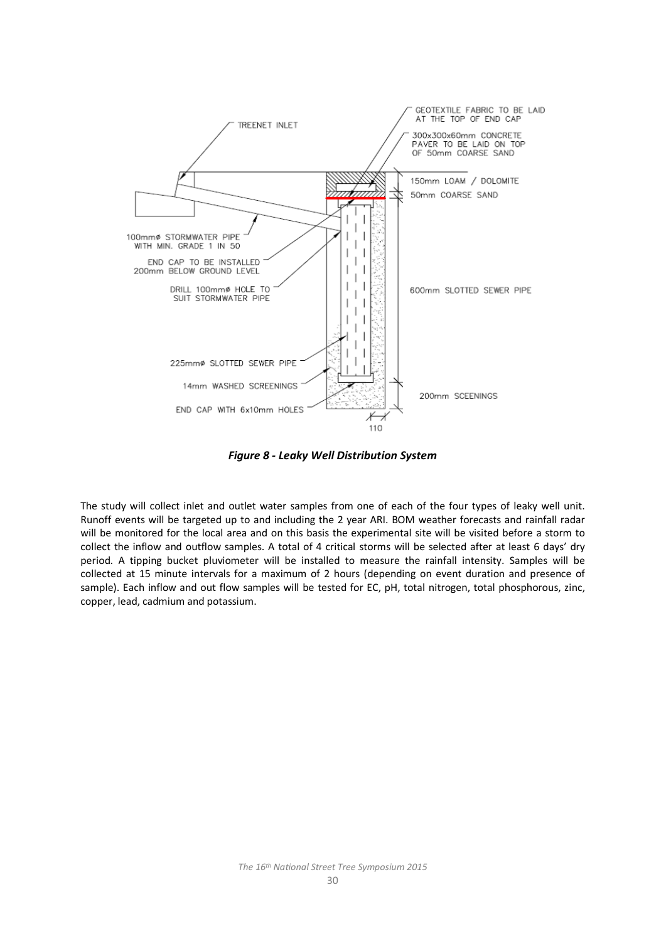![](_page_9_Figure_0.jpeg)

*Figure 8 - Leaky Well Distribution System*

The study will collect inlet and outlet water samples from one of each of the four types of leaky well unit. Runoff events will be targeted up to and including the 2 year ARI. BOM weather forecasts and rainfall radar will be monitored for the local area and on this basis the experimental site will be visited before a storm to collect the inflow and outflow samples. A total of 4 critical storms will be selected after at least 6 days' dry period. A tipping bucket pluviometer will be installed to measure the rainfall intensity. Samples will be collected at 15 minute intervals for a maximum of 2 hours (depending on event duration and presence of sample). Each inflow and out flow samples will be tested for EC, pH, total nitrogen, total phosphorous, zinc, copper, lead, cadmium and potassium.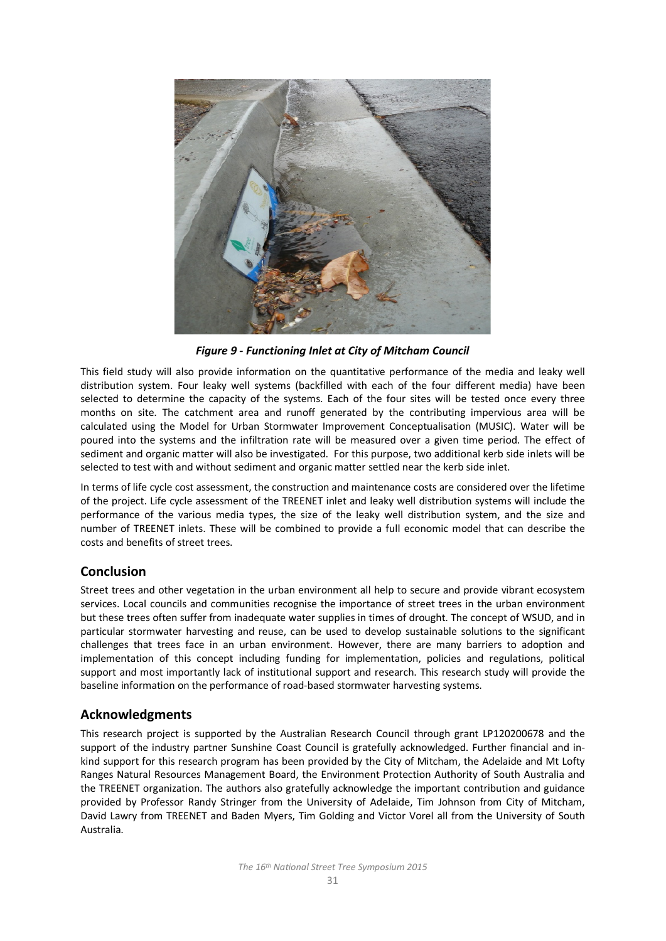![](_page_10_Picture_0.jpeg)

*Figure 9 - Functioning Inlet at City of Mitcham Council*

This field study will also provide information on the quantitative performance of the media and leaky well distribution system. Four leaky well systems (backfilled with each of the four different media) have been selected to determine the capacity of the systems. Each of the four sites will be tested once every three months on site. The catchment area and runoff generated by the contributing impervious area will be calculated using the Model for Urban Stormwater Improvement Conceptualisation (MUSIC). Water will be poured into the systems and the infiltration rate will be measured over a given time period. The effect of sediment and organic matter will also be investigated. For this purpose, two additional kerb side inlets will be selected to test with and without sediment and organic matter settled near the kerb side inlet.

In terms of life cycle cost assessment, the construction and maintenance costs are considered over the lifetime of the project. Life cycle assessment of the TREENET inlet and leaky well distribution systems will include the performance of the various media types, the size of the leaky well distribution system, and the size and number of TREENET inlets. These will be combined to provide a full economic model that can describe the costs and benefits of street trees.

# **Conclusion**

Street trees and other vegetation in the urban environment all help to secure and provide vibrant ecosystem services. Local councils and communities recognise the importance of street trees in the urban environment but these trees often suffer from inadequate water supplies in times of drought. The concept of WSUD, and in particular stormwater harvesting and reuse, can be used to develop sustainable solutions to the significant challenges that trees face in an urban environment. However, there are many barriers to adoption and implementation of this concept including funding for implementation, policies and regulations, political support and most importantly lack of institutional support and research. This research study will provide the baseline information on the performance of road-based stormwater harvesting systems.

# **Acknowledgments**

This research project is supported by the Australian Research Council through grant LP120200678 and the support of the industry partner Sunshine Coast Council is gratefully acknowledged. Further financial and inkind support for this research program has been provided by the City of Mitcham, the Adelaide and Mt Lofty Ranges Natural Resources Management Board, the Environment Protection Authority of South Australia and the TREENET organization. The authors also gratefully acknowledge the important contribution and guidance provided by Professor Randy Stringer from the University of Adelaide, Tim Johnson from City of Mitcham, David Lawry from TREENET and Baden Myers, Tim Golding and Victor Vorel all from the University of South Australia.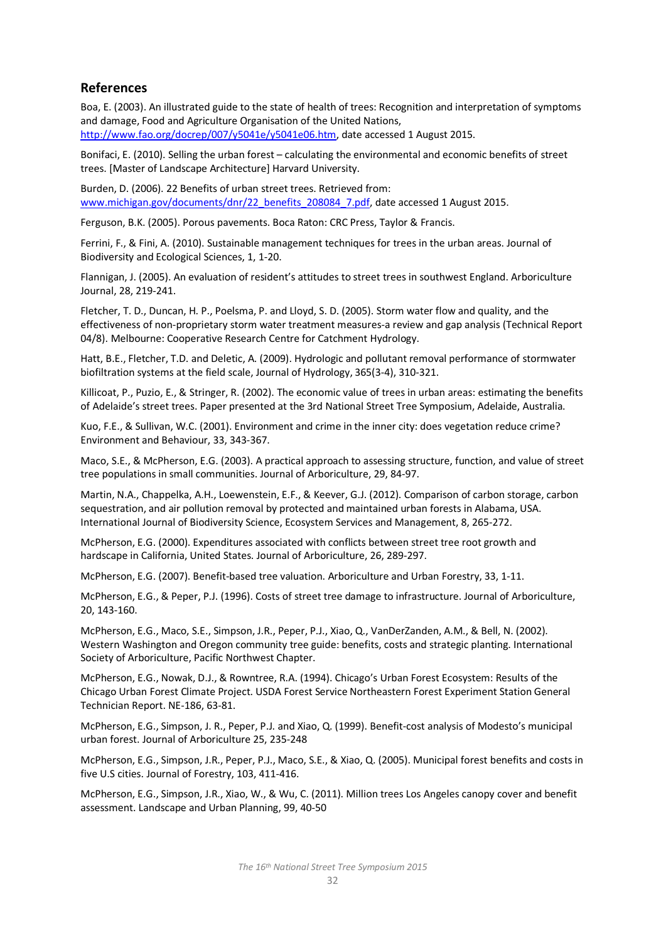## **References**

Boa, E. (2003). An illustrated guide to the state of health of trees: Recognition and interpretation of symptoms and damage, Food and Agriculture Organisation of the United Nations, [http://www.fao.org/docrep/007/y5041e/y5041e06.htm,](http://www.fao.org/docrep/007/y5041e/y5041e06.htm) date accessed 1 August 2015.

Bonifaci, E. (2010). Selling the urban forest – calculating the environmental and economic benefits of street trees. [Master of Landscape Architecture] Harvard University.

Burden, D. (2006). 22 Benefits of urban street trees. Retrieved from: [www.michigan.gov/documents/dnr/22\\_benefits\\_208084\\_7.pdf,](http://www.michigan.gov/documents/dnr/22_benefits_208084_7.pdf) date accessed 1 August 2015.

Ferguson, B.K. (2005). Porous pavements. Boca Raton: CRC Press, Taylor & Francis.

Ferrini, F., & Fini, A. (2010). Sustainable management techniques for trees in the urban areas. Journal of Biodiversity and Ecological Sciences, 1, 1-20.

Flannigan, J. (2005). An evaluation of resident's attitudes to street trees in southwest England. Arboriculture Journal, 28, 219-241.

Fletcher, T. D., Duncan, H. P., Poelsma, P. and Lloyd, S. D. (2005). Storm water flow and quality, and the effectiveness of non-proprietary storm water treatment measures-a review and gap analysis (Technical Report 04/8). Melbourne: Cooperative Research Centre for Catchment Hydrology.

Hatt, B.E., Fletcher, T.D. and Deletic, A. (2009). Hydrologic and pollutant removal performance of stormwater biofiltration systems at the field scale, Journal of Hydrology, 365(3-4), 310-321.

Killicoat, P., Puzio, E., & Stringer, R. (2002). The economic value of trees in urban areas: estimating the benefits of Adelaide's street trees. Paper presented at the 3rd National Street Tree Symposium, Adelaide, Australia.

Kuo, F.E., & Sullivan, W.C. (2001). Environment and crime in the inner city: does vegetation reduce crime? Environment and Behaviour, 33, 343-367.

Maco, S.E., & McPherson, E.G. (2003). A practical approach to assessing structure, function, and value of street tree populations in small communities. Journal of Arboriculture, 29, 84-97.

Martin, N.A., Chappelka, A.H., Loewenstein, E.F., & Keever, G.J. (2012). Comparison of carbon storage, carbon sequestration, and air pollution removal by protected and maintained urban forests in Alabama, USA. International Journal of Biodiversity Science, Ecosystem Services and Management, 8, 265-272.

McPherson, E.G. (2000). Expenditures associated with conflicts between street tree root growth and hardscape in California, United States. Journal of Arboriculture, 26, 289-297.

McPherson, E.G. (2007). Benefit-based tree valuation. Arboriculture and Urban Forestry, 33, 1-11.

McPherson, E.G., & Peper, P.J. (1996). Costs of street tree damage to infrastructure. Journal of Arboriculture, 20, 143-160.

McPherson, E.G., Maco, S.E., Simpson, J.R., Peper, P.J., Xiao, Q., VanDerZanden, A.M., & Bell, N. (2002). Western Washington and Oregon community tree guide: benefits, costs and strategic planting. International Society of Arboriculture, Pacific Northwest Chapter.

McPherson, E.G., Nowak, D.J., & Rowntree, R.A. (1994). Chicago's Urban Forest Ecosystem: Results of the Chicago Urban Forest Climate Project. USDA Forest Service Northeastern Forest Experiment Station General Technician Report. NE-186, 63-81.

McPherson, E.G., Simpson, J. R., Peper, P.J. and Xiao, Q. (1999). Benefit-cost analysis of Modesto's municipal urban forest. Journal of Arboriculture 25, 235-248

McPherson, E.G., Simpson, J.R., Peper, P.J., Maco, S.E., & Xiao, Q. (2005). Municipal forest benefits and costs in five U.S cities. Journal of Forestry, 103, 411-416.

McPherson, E.G., Simpson, J.R., Xiao, W., & Wu, C. (2011). Million trees Los Angeles canopy cover and benefit assessment. Landscape and Urban Planning, 99, 40-50